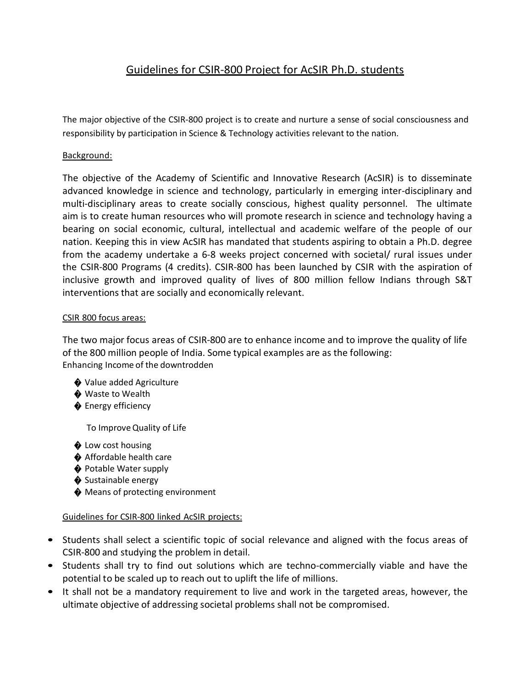## Guidelines for CSIR-800 Project for AcSIR Ph.D. students

The major objective of the CSIR-800 project is to create and nurture a sense of social consciousness and responsibility by participation in Science & Technology activities relevant to the nation.

## Background:

The objective of the Academy of Scientific and Innovative Research (AcSIR) is to disseminate advanced knowledge in science and technology, particularly in emerging inter-disciplinary and multi-disciplinary areas to create socially conscious, highest quality personnel. The ultimate aim is to create human resources who will promote research in science and technology having a bearing on social economic, cultural, intellectual and academic welfare of the people of our nation. Keeping this in view AcSIR has mandated that students aspiring to obtain a Ph.D. degree from the academy undertake a 6-8 weeks project concerned with societal/ rural issues under the CSIR-800 Programs (4 credits). CSIR-800 has been launched by CSIR with the aspiration of inclusive growth and improved quality of lives of 800 million fellow Indians through S&T interventions that are socially and economically relevant.

## CSIR 800 focus areas:

The two major focus areas of CSIR-800 are to enhance income and to improve the quality of life of the 800 million people of India. Some typical examples are as the following: Enhancing Income of the downtrodden

- ♦ Value added Agriculture
- ♦ Waste to Wealth
- ♦ Energy efficiency

To ImproveQuality of Life

- $\bullet$  Low cost housing
- ♦ Affordable health care
- ♦ Potable Water supply
- ♦ Sustainable energy
- ♦ Means of protecting environment

## Guidelines for CSIR-800 linked AcSIR projects:

- Students shall select a scientific topic of social relevance and aligned with the focus areas of CSIR-800 and studying the problem in detail.
- Students shall try to find out solutions which are techno-commercially viable and have the potential to be scaled up to reach out to uplift the life of millions.
- It shall not be a mandatory requirement to live and work in the targeted areas, however, the ultimate objective of addressing societal problems shall not be compromised.